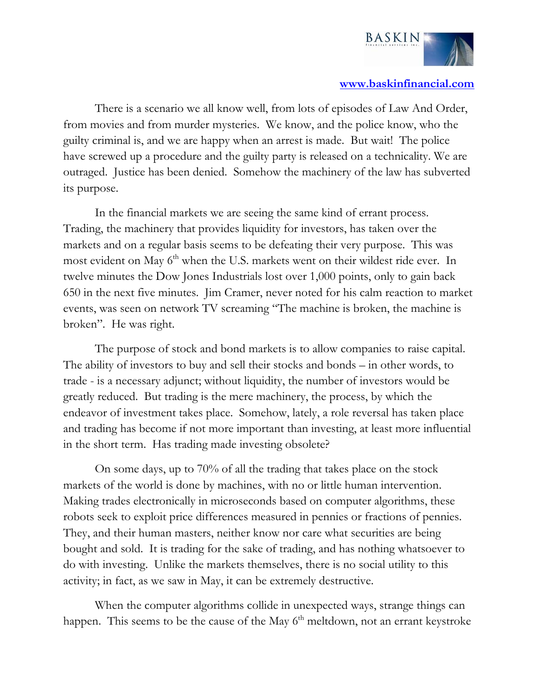

## **www.baskinfinancial.com**

 There is a scenario we all know well, from lots of episodes of Law And Order, from movies and from murder mysteries. We know, and the police know, who the guilty criminal is, and we are happy when an arrest is made. But wait! The police have screwed up a procedure and the guilty party is released on a technicality. We are outraged. Justice has been denied. Somehow the machinery of the law has subverted its purpose.

 In the financial markets we are seeing the same kind of errant process. Trading, the machinery that provides liquidity for investors, has taken over the markets and on a regular basis seems to be defeating their very purpose. This was most evident on May 6<sup>th</sup> when the U.S. markets went on their wildest ride ever. In twelve minutes the Dow Jones Industrials lost over 1,000 points, only to gain back 650 in the next five minutes. Jim Cramer, never noted for his calm reaction to market events, was seen on network TV screaming "The machine is broken, the machine is broken". He was right.

 The purpose of stock and bond markets is to allow companies to raise capital. The ability of investors to buy and sell their stocks and bonds – in other words, to trade - is a necessary adjunct; without liquidity, the number of investors would be greatly reduced. But trading is the mere machinery, the process, by which the endeavor of investment takes place. Somehow, lately, a role reversal has taken place and trading has become if not more important than investing, at least more influential in the short term. Has trading made investing obsolete?

 On some days, up to 70% of all the trading that takes place on the stock markets of the world is done by machines, with no or little human intervention. Making trades electronically in microseconds based on computer algorithms, these robots seek to exploit price differences measured in pennies or fractions of pennies. They, and their human masters, neither know nor care what securities are being bought and sold. It is trading for the sake of trading, and has nothing whatsoever to do with investing. Unlike the markets themselves, there is no social utility to this activity; in fact, as we saw in May, it can be extremely destructive.

 When the computer algorithms collide in unexpected ways, strange things can happen. This seems to be the cause of the May 6<sup>th</sup> meltdown, not an errant keystroke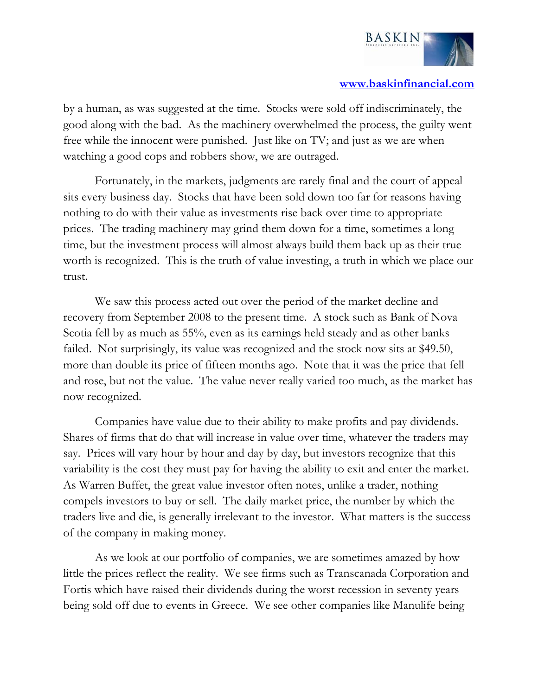

## **www.baskinfinancial.com**

by a human, as was suggested at the time. Stocks were sold off indiscriminately, the good along with the bad. As the machinery overwhelmed the process, the guilty went free while the innocent were punished. Just like on TV; and just as we are when watching a good cops and robbers show, we are outraged.

 Fortunately, in the markets, judgments are rarely final and the court of appeal sits every business day. Stocks that have been sold down too far for reasons having nothing to do with their value as investments rise back over time to appropriate prices. The trading machinery may grind them down for a time, sometimes a long time, but the investment process will almost always build them back up as their true worth is recognized. This is the truth of value investing, a truth in which we place our trust.

 We saw this process acted out over the period of the market decline and recovery from September 2008 to the present time. A stock such as Bank of Nova Scotia fell by as much as 55%, even as its earnings held steady and as other banks failed. Not surprisingly, its value was recognized and the stock now sits at \$49.50, more than double its price of fifteen months ago. Note that it was the price that fell and rose, but not the value. The value never really varied too much, as the market has now recognized.

 Companies have value due to their ability to make profits and pay dividends. Shares of firms that do that will increase in value over time, whatever the traders may say. Prices will vary hour by hour and day by day, but investors recognize that this variability is the cost they must pay for having the ability to exit and enter the market. As Warren Buffet, the great value investor often notes, unlike a trader, nothing compels investors to buy or sell. The daily market price, the number by which the traders live and die, is generally irrelevant to the investor. What matters is the success of the company in making money.

 As we look at our portfolio of companies, we are sometimes amazed by how little the prices reflect the reality. We see firms such as Transcanada Corporation and Fortis which have raised their dividends during the worst recession in seventy years being sold off due to events in Greece. We see other companies like Manulife being